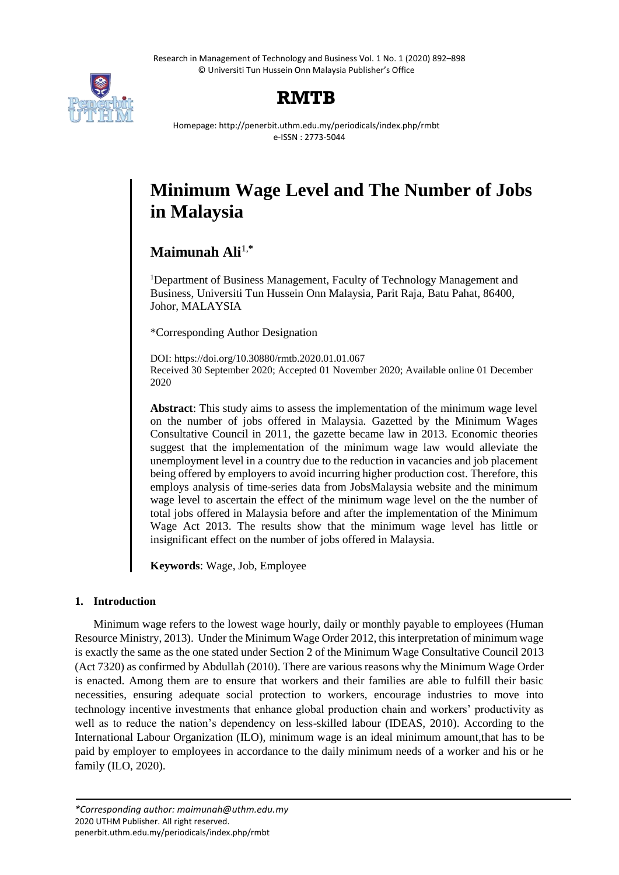Research in Management of Technology and Business Vol. 1 No. 1 (2020) 892–898 © Universiti Tun Hussein Onn Malaysia Publisher's Office



# **RMTB**

Homepage: http://penerbit.uthm.edu.my/periodicals/index.php/rmbt e-ISSN : 2773-5044

# **Minimum Wage Level and The Number of Jobs in Malaysia**

# **Maimunah Ali**1,**\***

<sup>1</sup>Department of Business Management, Faculty of Technology Management and Business, Universiti Tun Hussein Onn Malaysia, Parit Raja, Batu Pahat, 86400, Johor, MALAYSIA

\*Corresponding Author Designation

DOI: https://doi.org/10.30880/rmtb.2020.01.01.067 Received 30 September 2020; Accepted 01 November 2020; Available online 01 December 2020

**Abstract**: This study aims to assess the implementation of the minimum wage level on the number of jobs offered in Malaysia. Gazetted by the Minimum Wages Consultative Council in 2011, the gazette became law in 2013. Economic theories suggest that the implementation of the minimum wage law would alleviate the unemployment level in a country due to the reduction in vacancies and job placement being offered by employers to avoid incurring higher production cost. Therefore, this employs analysis of time-series data from JobsMalaysia website and the minimum wage level to ascertain the effect of the minimum wage level on the the number of total jobs offered in Malaysia before and after the implementation of the Minimum Wage Act 2013. The results show that the minimum wage level has little or insignificant effect on the number of jobs offered in Malaysia.

**Keywords**: Wage, Job, Employee

# **1. Introduction**

Minimum wage refers to the lowest wage hourly, daily or monthly payable to employees (Human Resource Ministry, 2013). Under the Minimum Wage Order 2012, this interpretation of minimum wage is exactly the same as the one stated under Section 2 of the Minimum Wage Consultative Council 2013 (Act 7320) as confirmed by Abdullah (2010). There are various reasons why the Minimum Wage Order is enacted. Among them are to ensure that workers and their families are able to fulfill their basic necessities, ensuring adequate social protection to workers, encourage industries to move into technology incentive investments that enhance global production chain and workers' productivity as well as to reduce the nation's dependency on less-skilled labour (IDEAS, 2010). According to the International Labour Organization (ILO), minimum wage is an ideal minimum amount,that has to be paid by employer to employees in accordance to the daily minimum needs of a worker and his or he family (ILO, 2020).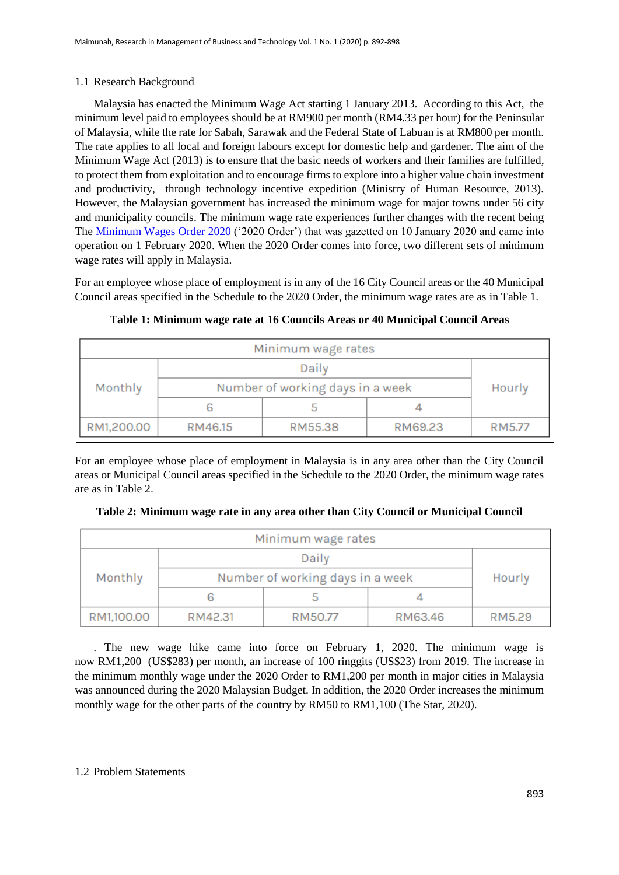# 1.1 Research Background

Malaysia has enacted the Minimum Wage Act starting 1 January 2013. According to this Act, the minimum level paid to employees should be at RM900 per month (RM4.33 per hour) for the Peninsular of Malaysia, while the rate for Sabah, Sarawak and the Federal State of Labuan is at RM800 per month. The rate applies to all local and foreign labours except for domestic help and gardener. The aim of the Minimum Wage Act (2013) is to ensure that the basic needs of workers and their families are fulfilled, to protect them from exploitation and to encourage firms to explore into a higher value chain investment and productivity, through technology incentive expedition (Ministry of Human Resource, 2013). However, the Malaysian government has increased the minimum wage for major towns under 56 city and municipality councils. The minimum wage rate experiences further changes with the recent being The [Minimum Wages Order 2020](http://www.federalgazette.agc.gov.my/outputp/pua_20200110_P.U.%20(A)%205.pdf) ('2020 Order') that was gazetted on 10 January 2020 and came into operation on 1 February 2020. When the 2020 Order comes into force, two different sets of minimum wage rates will apply in Malaysia.

For an employee whose place of employment is in any of the 16 City Council areas or the 40 Municipal Council areas specified in the Schedule to the 2020 Order, the minimum wage rates are as in Table 1.

| Minimum wage rates |                                  |         |         |        |  |
|--------------------|----------------------------------|---------|---------|--------|--|
| Monthly            | Daily                            |         |         | Hourly |  |
|                    | Number of working days in a week |         |         |        |  |
|                    |                                  |         |         |        |  |
| RM1,200.00         | RM46.15                          | RM55.38 | RM69.23 | RM5.77 |  |

**Table 1: Minimum wage rate at 16 Councils Areas or 40 Municipal Council Areas**

For an employee whose place of employment in Malaysia is in any area other than the City Council areas or Municipal Council areas specified in the Schedule to the 2020 Order, the minimum wage rates are as in Table 2.

|  | Table 2: Minimum wage rate in any area other than City Council or Municipal Council |  |  |  |
|--|-------------------------------------------------------------------------------------|--|--|--|
|  |                                                                                     |  |  |  |

| Minimum wage rates |                                  |         |         |        |  |
|--------------------|----------------------------------|---------|---------|--------|--|
|                    |                                  | Hourly  |         |        |  |
| Monthly            | Number of working days in a week |         |         |        |  |
|                    |                                  |         |         |        |  |
| RM1,100.00         | RM42.31                          | RM50.77 | RM63.46 | RM5.29 |  |

. The new wage hike came into force on February 1, 2020. The minimum wage is now RM1,200 (US\$283) per month, an increase of 100 ringgits (US\$23) from 2019. The increase in the minimum monthly wage under the 2020 Order to RM1,200 per month in major cities in Malaysia was announced during the 2020 Malaysian Budget. In addition, the 2020 Order increases the minimum monthly wage for the other parts of the country by RM50 to RM1,100 (The Star, 2020).

## 1.2 Problem Statements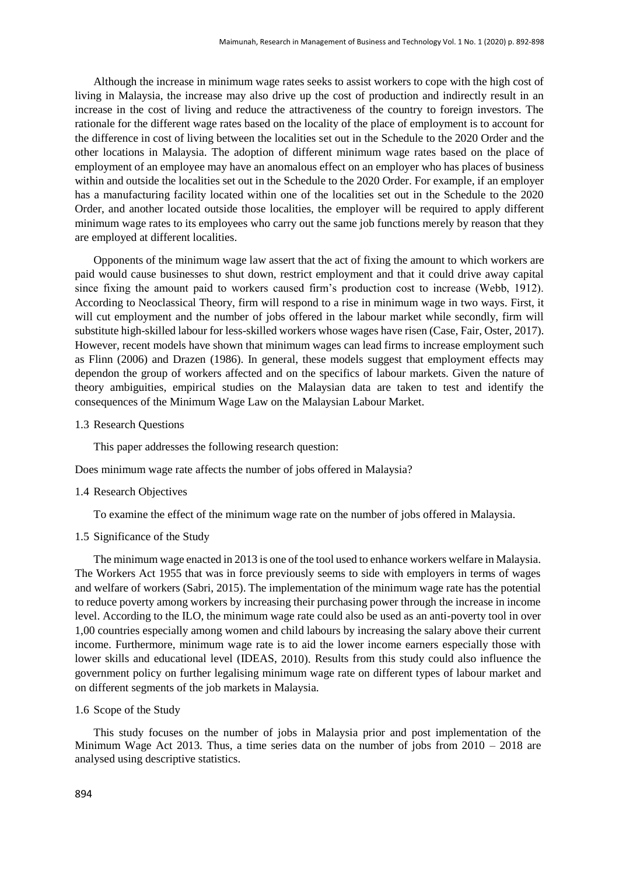Although the increase in minimum wage rates seeks to assist workers to cope with the high cost of living in Malaysia, the increase may also drive up the cost of production and indirectly result in an increase in the cost of living and reduce the attractiveness of the country to foreign investors. The rationale for the different wage rates based on the locality of the place of employment is to account for the difference in cost of living between the localities set out in the Schedule to the 2020 Order and the other locations in Malaysia. The adoption of different minimum wage rates based on the place of employment of an employee may have an anomalous effect on an employer who has places of business within and outside the localities set out in the Schedule to the 2020 Order. For example, if an employer has a manufacturing facility located within one of the localities set out in the Schedule to the 2020 Order, and another located outside those localities, the employer will be required to apply different minimum wage rates to its employees who carry out the same job functions merely by reason that they are employed at different localities.

Opponents of the minimum wage law assert that the act of fixing the amount to which workers are paid would cause businesses to shut down, restrict employment and that it could drive away capital since fixing the amount paid to workers caused firm's production cost to increase (Webb, 1912). According to Neoclassical Theory, firm will respond to a rise in minimum wage in two ways. First, it will cut employment and the number of jobs offered in the labour market while secondly, firm will substitute high-skilled labour for less-skilled workers whose wages have risen (Case, Fair, Oster, 2017). However, recent models have shown that minimum wages can lead firms to increase employment such as Flinn (2006) and Drazen (1986). In general, these models suggest that employment effects may dependon the group of workers affected and on the specifics of labour markets. Given the nature of theory ambiguities, empirical studies on the Malaysian data are taken to test and identify the consequences of the Minimum Wage Law on the Malaysian Labour Market.

#### 1.3 Research Questions

This paper addresses the following research question:

Does minimum wage rate affects the number of jobs offered in Malaysia?

#### 1.4 Research Objectives

To examine the effect of the minimum wage rate on the number of jobs offered in Malaysia.

#### 1.5 Significance of the Study

The minimum wage enacted in 2013 is one of the tool used to enhance workers welfare in Malaysia. The Workers Act 1955 that was in force previously seems to side with employers in terms of wages and welfare of workers (Sabri, 2015). The implementation of the minimum wage rate has the potential to reduce poverty among workers by increasing their purchasing power through the increase in income level. According to the ILO, the minimum wage rate could also be used as an anti-poverty tool in over 1,00 countries especially among women and child labours by increasing the salary above their current income. Furthermore, minimum wage rate is to aid the lower income earners especially those with lower skills and educational level (IDEAS, 2010). Results from this study could also influence the government policy on further legalising minimum wage rate on different types of labour market and on different segments of the job markets in Malaysia.

#### 1.6 Scope of the Study

This study focuses on the number of jobs in Malaysia prior and post implementation of the Minimum Wage Act 2013. Thus, a time series data on the number of jobs from 2010 – 2018 are analysed using descriptive statistics.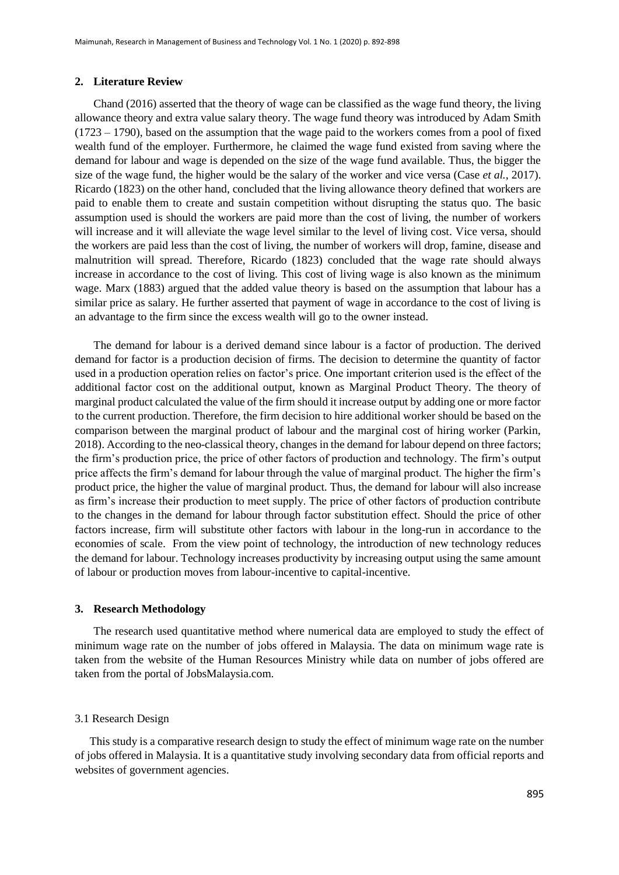#### **2. Literature Review**

Chand (2016) asserted that the theory of wage can be classified as the wage fund theory, the living allowance theory and extra value salary theory. The wage fund theory was introduced by Adam Smith (1723 – 1790), based on the assumption that the wage paid to the workers comes from a pool of fixed wealth fund of the employer. Furthermore, he claimed the wage fund existed from saving where the demand for labour and wage is depended on the size of the wage fund available. Thus, the bigger the size of the wage fund, the higher would be the salary of the worker and vice versa (Case *et al.*, 2017). Ricardo (1823) on the other hand, concluded that the living allowance theory defined that workers are paid to enable them to create and sustain competition without disrupting the status quo. The basic assumption used is should the workers are paid more than the cost of living, the number of workers will increase and it will alleviate the wage level similar to the level of living cost. Vice versa, should the workers are paid less than the cost of living, the number of workers will drop, famine, disease and malnutrition will spread. Therefore, Ricardo (1823) concluded that the wage rate should always increase in accordance to the cost of living. This cost of living wage is also known as the minimum wage. Marx (1883) argued that the added value theory is based on the assumption that labour has a similar price as salary. He further asserted that payment of wage in accordance to the cost of living is an advantage to the firm since the excess wealth will go to the owner instead.

The demand for labour is a derived demand since labour is a factor of production. The derived demand for factor is a production decision of firms. The decision to determine the quantity of factor used in a production operation relies on factor's price. One important criterion used is the effect of the additional factor cost on the additional output, known as Marginal Product Theory. The theory of marginal product calculated the value of the firm should it increase output by adding one or more factor to the current production. Therefore, the firm decision to hire additional worker should be based on the comparison between the marginal product of labour and the marginal cost of hiring worker (Parkin, 2018). According to the neo-classical theory, changes in the demand for labour depend on three factors; the firm's production price, the price of other factors of production and technology. The firm's output price affects the firm's demand for labour through the value of marginal product. The higher the firm's product price, the higher the value of marginal product. Thus, the demand for labour will also increase as firm's increase their production to meet supply. The price of other factors of production contribute to the changes in the demand for labour through factor substitution effect. Should the price of other factors increase, firm will substitute other factors with labour in the long-run in accordance to the economies of scale. From the view point of technology, the introduction of new technology reduces the demand for labour. Technology increases productivity by increasing output using the same amount of labour or production moves from labour-incentive to capital-incentive.

#### **3. Research Methodology**

The research used quantitative method where numerical data are employed to study the effect of minimum wage rate on the number of jobs offered in Malaysia. The data on minimum wage rate is taken from the website of the Human Resources Ministry while data on number of jobs offered are taken from the portal of JobsMalaysia.com.

#### 3.1 Research Design

This study is a comparative research design to study the effect of minimum wage rate on the number of jobs offered in Malaysia. It is a quantitative study involving secondary data from official reports and websites of government agencies.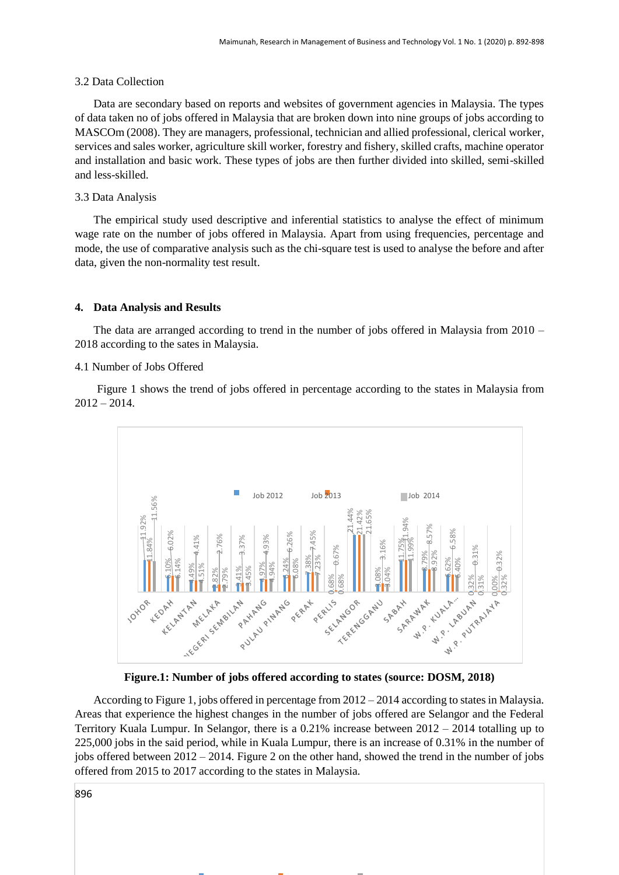#### 3.2 Data Collection

Data are secondary based on reports and websites of government agencies in Malaysia. The types of data taken no of jobs offered in Malaysia that are broken down into nine groups of jobs according to MASCOm (2008). They are managers, professional, technician and allied professional, clerical worker, services and sales worker, agriculture skill worker, forestry and fishery, skilled crafts, machine operator and installation and basic work. These types of jobs are then further divided into skilled, semi-skilled and less-skilled.

#### 3.3 Data Analysis

The empirical study used descriptive and inferential statistics to analyse the effect of minimum wage rate on the number of jobs offered in Malaysia. Apart from using frequencies, percentage and mode, the use of comparative analysis such as the chi-square test is used to analyse the before and after data, given the non-normality test result.

#### **4. Data Analysis and Results**

The data are arranged according to trend in the number of jobs offered in Malaysia from  $2010 -$ 2018 according to the sates in Malaysia.

#### 4.1 Number of Jobs Offered

Figure 1 shows the trend of jobs offered in percentage according to the states in Malaysia from  $2012 - 2014.$ 



**Figure.1: Number of jobs offered according to states (source: DOSM, 2018)**

According to Figure 1, jobs offered in percentage from 2012 – 2014 according to states in Malaysia. Areas that experience the highest changes in the number of jobs offered are Selangor and the Federal Territory Kuala Lumpur. In Selangor, there is a 0.21% increase between 2012 – 2014 totalling up to 225,000 jobs in the said period, while in Kuala Lumpur, there is an increase of 0.31% in the number of jobs offered between 2012 – 2014. Figure 2 on the other hand, showed the trend in the number of jobs offered from 2015 to 2017 according to the states in Malaysia.

896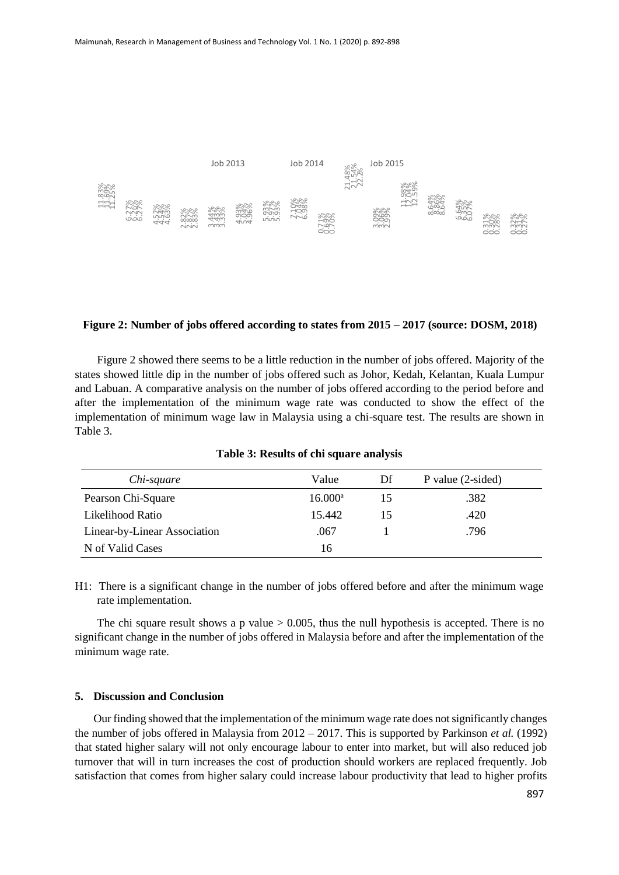

#### **Figure 2: Number of jobs offered according to states from 2015 – 2017 (source: DOSM, 2018)**

Figure 2 showed there seems to be a little reduction in the number of jobs offered. Majority of the states showed little dip in the number of jobs offered such as Johor, Kedah, Kelantan, Kuala Lumpur and Labuan. A comparative analysis on the number of jobs offered according to the period before and after the implementation of the minimum wage rate was conducted to show the effect of the implementation of minimum wage law in Malaysia using a chi-square test. The results are shown in Table 3.

| Chi-square                   | Value      | Df | P value $(2\text{-sided})$ |
|------------------------------|------------|----|----------------------------|
| Pearson Chi-Square           | $16.000^a$ | 15 | .382                       |
| Likelihood Ratio             | 15.442     | 15 | .420                       |
| Linear-by-Linear Association | .067       |    | .796                       |
| N of Valid Cases             | 16         |    |                            |

**Table 3: Results of chi square analysis**

H1: There is a significant change in the number of jobs offered before and after the minimum wage rate implementation.

The chi square result shows a p value  $> 0.005$ , thus the null hypothesis is accepted. There is no significant change in the number of jobs offered in Malaysia before and after the implementation of the minimum wage rate.

#### **5. Discussion and Conclusion**

Our finding showed that the implementation of the minimum wage rate does not significantly changes the number of jobs offered in Malaysia from 2012 – 2017. This is supported by Parkinson *et al.* (1992) that stated higher salary will not only encourage labour to enter into market, but will also reduced job turnover that will in turn increases the cost of production should workers are replaced frequently. Job satisfaction that comes from higher salary could increase labour productivity that lead to higher profits